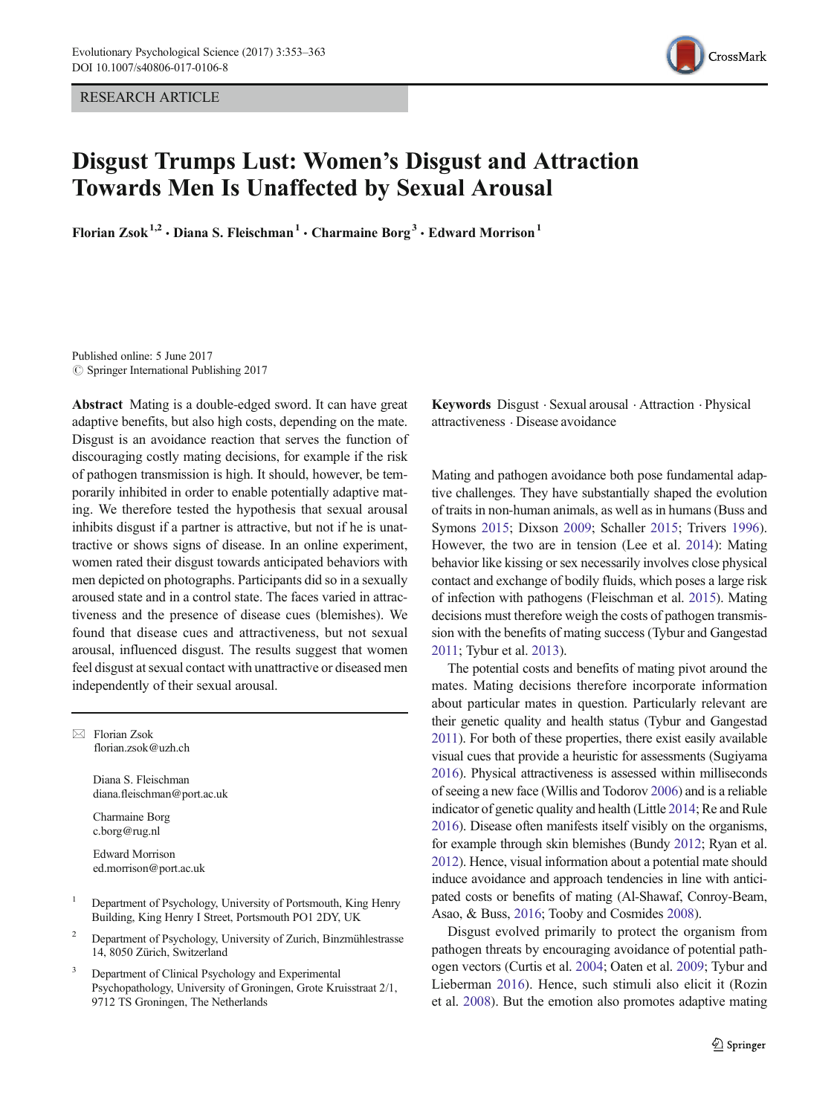RESEARCH ARTICLE



# Disgust Trumps Lust: Women's Disgust and Attraction Towards Men Is Unaffected by Sexual Arousal

Florian Zsok<sup>1,2</sup> · Diana S. Fleischman<sup>1</sup> · Charmaine Borg<sup>3</sup> · Edward Morrison<sup>1</sup>

Published online: 5 June 2017  $\oslash$  Springer International Publishing 2017

Abstract Mating is a double-edged sword. It can have great adaptive benefits, but also high costs, depending on the mate. Disgust is an avoidance reaction that serves the function of discouraging costly mating decisions, for example if the risk of pathogen transmission is high. It should, however, be temporarily inhibited in order to enable potentially adaptive mating. We therefore tested the hypothesis that sexual arousal inhibits disgust if a partner is attractive, but not if he is unattractive or shows signs of disease. In an online experiment, women rated their disgust towards anticipated behaviors with men depicted on photographs. Participants did so in a sexually aroused state and in a control state. The faces varied in attractiveness and the presence of disease cues (blemishes). We found that disease cues and attractiveness, but not sexual arousal, influenced disgust. The results suggest that women feel disgust at sexual contact with unattractive or diseased men independently of their sexual arousal.

 $\boxtimes$  Florian Zsok florian.zsok@uzh.ch

> Diana S. Fleischman diana.fleischman@port.ac.uk

Charmaine Borg c.borg@rug.nl

Edward Morrison ed.morrison@port.ac.uk

- <sup>1</sup> Department of Psychology, University of Portsmouth, King Henry Building, King Henry I Street, Portsmouth PO1 2DY, UK
- <sup>2</sup> Department of Psychology, University of Zurich, Binzmühlestrasse 14, 8050 Zürich, Switzerland
- <sup>3</sup> Department of Clinical Psychology and Experimental Psychopathology, University of Groningen, Grote Kruisstraat 2/1, 9712 TS Groningen, The Netherlands

Keywords Disgust . Sexual arousal . Attraction . Physical attractiveness . Disease avoidance

Mating and pathogen avoidance both pose fundamental adaptive challenges. They have substantially shaped the evolution of traits in non-human animals, as well as in humans (Buss and Symons [2015](#page-8-0); Dixson [2009](#page-8-0); Schaller [2015](#page-10-0); Trivers [1996\)](#page-10-0). However, the two are in tension (Lee et al. [2014](#page-9-0)): Mating behavior like kissing or sex necessarily involves close physical contact and exchange of bodily fluids, which poses a large risk of infection with pathogens (Fleischman et al. [2015\)](#page-8-0). Mating decisions must therefore weigh the costs of pathogen transmission with the benefits of mating success (Tybur and Gangestad [2011](#page-10-0); Tybur et al. [2013\)](#page-10-0).

The potential costs and benefits of mating pivot around the mates. Mating decisions therefore incorporate information about particular mates in question. Particularly relevant are their genetic quality and health status (Tybur and Gangestad [2011](#page-10-0)). For both of these properties, there exist easily available visual cues that provide a heuristic for assessments (Sugiyama [2016](#page-10-0)). Physical attractiveness is assessed within milliseconds of seeing a new face (Willis and Todorov [2006\)](#page-10-0) and is a reliable indicator of genetic quality and health (Little [2014](#page-9-0); Re and Rule [2016](#page-9-0)). Disease often manifests itself visibly on the organisms, for example through skin blemishes (Bundy [2012](#page-8-0); Ryan et al. [2012](#page-10-0)). Hence, visual information about a potential mate should induce avoidance and approach tendencies in line with anticipated costs or benefits of mating (Al-Shawaf, Conroy-Beam, Asao, & Buss, [2016;](#page-8-0) Tooby and Cosmides [2008](#page-10-0)).

Disgust evolved primarily to protect the organism from pathogen threats by encouraging avoidance of potential pathogen vectors (Curtis et al. [2004;](#page-8-0) Oaten et al. [2009](#page-9-0); Tybur and Lieberman [2016](#page-10-0)). Hence, such stimuli also elicit it (Rozin et al. [2008](#page-10-0)). But the emotion also promotes adaptive mating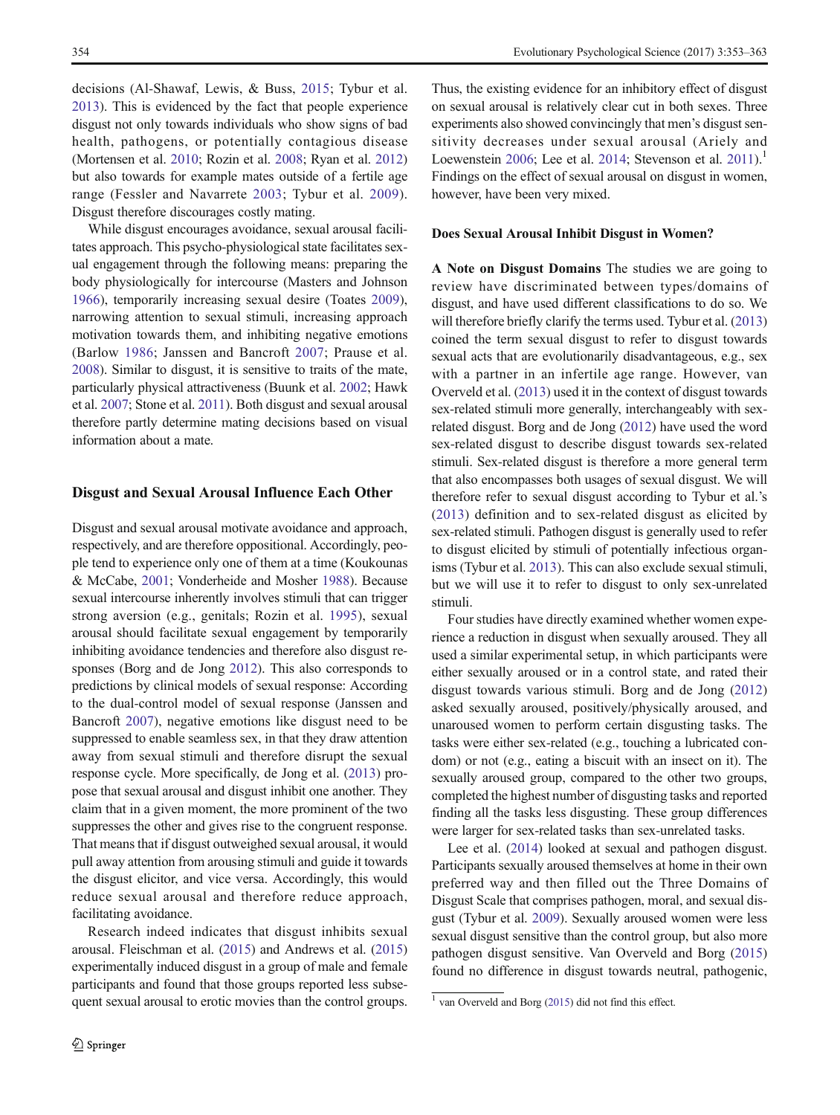decisions (Al-Shawaf, Lewis, & Buss, [2015;](#page-8-0) Tybur et al. [2013\)](#page-10-0). This is evidenced by the fact that people experience disgust not only towards individuals who show signs of bad health, pathogens, or potentially contagious disease (Mortensen et al. [2010;](#page-9-0) Rozin et al. [2008;](#page-10-0) Ryan et al. [2012\)](#page-10-0) but also towards for example mates outside of a fertile age range (Fessler and Navarrete [2003](#page-8-0); Tybur et al. [2009](#page-10-0)). Disgust therefore discourages costly mating.

While disgust encourages avoidance, sexual arousal facilitates approach. This psycho-physiological state facilitates sexual engagement through the following means: preparing the body physiologically for intercourse (Masters and Johnson [1966\)](#page-9-0), temporarily increasing sexual desire (Toates [2009](#page-10-0)), narrowing attention to sexual stimuli, increasing approach motivation towards them, and inhibiting negative emotions (Barlow [1986;](#page-8-0) Janssen and Bancroft [2007;](#page-9-0) Prause et al. [2008\)](#page-9-0). Similar to disgust, it is sensitive to traits of the mate, particularly physical attractiveness (Buunk et al. [2002](#page-8-0); Hawk et al. [2007](#page-9-0); Stone et al. [2011\)](#page-10-0). Both disgust and sexual arousal therefore partly determine mating decisions based on visual information about a mate.

## Disgust and Sexual Arousal Influence Each Other

Disgust and sexual arousal motivate avoidance and approach, respectively, and are therefore oppositional. Accordingly, people tend to experience only one of them at a time (Koukounas & McCabe, [2001](#page-9-0); Vonderheide and Mosher [1988\)](#page-10-0). Because sexual intercourse inherently involves stimuli that can trigger strong aversion (e.g., genitals; Rozin et al. [1995\)](#page-10-0), sexual arousal should facilitate sexual engagement by temporarily inhibiting avoidance tendencies and therefore also disgust responses (Borg and de Jong [2012](#page-8-0)). This also corresponds to predictions by clinical models of sexual response: According to the dual-control model of sexual response (Janssen and Bancroft [2007](#page-9-0)), negative emotions like disgust need to be suppressed to enable seamless sex, in that they draw attention away from sexual stimuli and therefore disrupt the sexual response cycle. More specifically, de Jong et al. [\(2013\)](#page-9-0) propose that sexual arousal and disgust inhibit one another. They claim that in a given moment, the more prominent of the two suppresses the other and gives rise to the congruent response. That means that if disgust outweighed sexual arousal, it would pull away attention from arousing stimuli and guide it towards the disgust elicitor, and vice versa. Accordingly, this would reduce sexual arousal and therefore reduce approach, facilitating avoidance.

Research indeed indicates that disgust inhibits sexual arousal. Fleischman et al. [\(2015\)](#page-8-0) and Andrews et al. [\(2015\)](#page-8-0) experimentally induced disgust in a group of male and female participants and found that those groups reported less subsequent sexual arousal to erotic movies than the control groups. Thus, the existing evidence for an inhibitory effect of disgust on sexual arousal is relatively clear cut in both sexes. Three experiments also showed convincingly that men's disgust sensitivity decreases under sexual arousal (Ariely and Loewenstein [2006](#page-8-0); Lee et al. [2014](#page-9-0); Stevenson et al.  $2011$ . Findings on the effect of sexual arousal on disgust in women, however, have been very mixed.

#### Does Sexual Arousal Inhibit Disgust in Women?

A Note on Disgust Domains The studies we are going to review have discriminated between types/domains of disgust, and have used different classifications to do so. We will therefore briefly clarify the terms used. Tybur et al. [\(2013](#page-10-0)) coined the term sexual disgust to refer to disgust towards sexual acts that are evolutionarily disadvantageous, e.g., sex with a partner in an infertile age range. However, van Overveld et al. ([2013](#page-9-0)) used it in the context of disgust towards sex-related stimuli more generally, interchangeably with sexrelated disgust. Borg and de Jong ([2012](#page-8-0)) have used the word sex-related disgust to describe disgust towards sex-related stimuli. Sex-related disgust is therefore a more general term that also encompasses both usages of sexual disgust. We will therefore refer to sexual disgust according to Tybur et al.'s [\(2013\)](#page-10-0) definition and to sex-related disgust as elicited by sex-related stimuli. Pathogen disgust is generally used to refer to disgust elicited by stimuli of potentially infectious organisms (Tybur et al. [2013\)](#page-10-0). This can also exclude sexual stimuli, but we will use it to refer to disgust to only sex-unrelated stimuli.

Four studies have directly examined whether women experience a reduction in disgust when sexually aroused. They all used a similar experimental setup, in which participants were either sexually aroused or in a control state, and rated their disgust towards various stimuli. Borg and de Jong ([2012](#page-8-0)) asked sexually aroused, positively/physically aroused, and unaroused women to perform certain disgusting tasks. The tasks were either sex-related (e.g., touching a lubricated condom) or not (e.g., eating a biscuit with an insect on it). The sexually aroused group, compared to the other two groups, completed the highest number of disgusting tasks and reported finding all the tasks less disgusting. These group differences were larger for sex-related tasks than sex-unrelated tasks.

Lee et al. [\(2014\)](#page-9-0) looked at sexual and pathogen disgust. Participants sexually aroused themselves at home in their own preferred way and then filled out the Three Domains of Disgust Scale that comprises pathogen, moral, and sexual disgust (Tybur et al. [2009\)](#page-10-0). Sexually aroused women were less sexual disgust sensitive than the control group, but also more pathogen disgust sensitive. Van Overveld and Borg [\(2015](#page-9-0)) found no difference in disgust towards neutral, pathogenic,

 $1$  van Overveld and Borg ([2015](#page-9-0)) did not find this effect.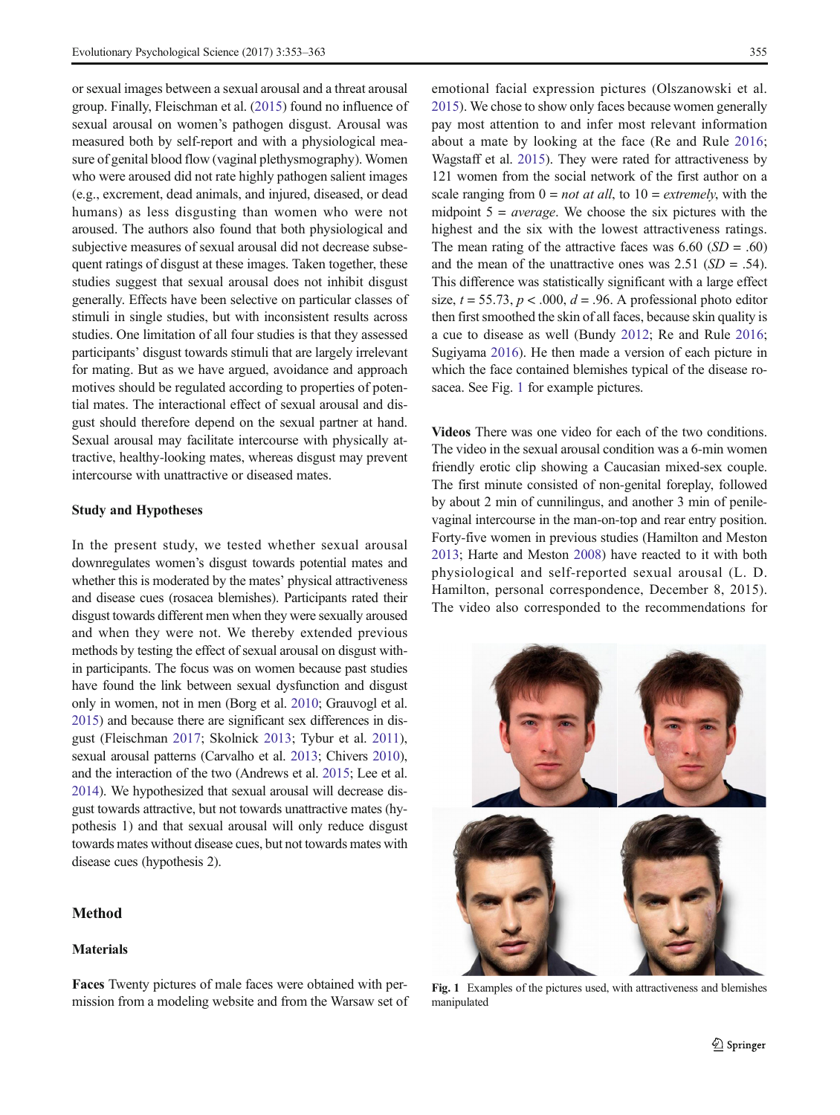or sexual images between a sexual arousal and a threat arousal group. Finally, Fleischman et al. ([2015](#page-8-0)) found no influence of sexual arousal on women's pathogen disgust. Arousal was measured both by self-report and with a physiological measure of genital blood flow (vaginal plethysmography). Women who were aroused did not rate highly pathogen salient images (e.g., excrement, dead animals, and injured, diseased, or dead humans) as less disgusting than women who were not aroused. The authors also found that both physiological and subjective measures of sexual arousal did not decrease subsequent ratings of disgust at these images. Taken together, these studies suggest that sexual arousal does not inhibit disgust generally. Effects have been selective on particular classes of stimuli in single studies, but with inconsistent results across studies. One limitation of all four studies is that they assessed participants' disgust towards stimuli that are largely irrelevant for mating. But as we have argued, avoidance and approach motives should be regulated according to properties of potential mates. The interactional effect of sexual arousal and disgust should therefore depend on the sexual partner at hand. Sexual arousal may facilitate intercourse with physically attractive, healthy-looking mates, whereas disgust may prevent intercourse with unattractive or diseased mates.

## Study and Hypotheses

In the present study, we tested whether sexual arousal downregulates women's disgust towards potential mates and whether this is moderated by the mates' physical attractiveness and disease cues (rosacea blemishes). Participants rated their disgust towards different men when they were sexually aroused and when they were not. We thereby extended previous methods by testing the effect of sexual arousal on disgust within participants. The focus was on women because past studies have found the link between sexual dysfunction and disgust only in women, not in men (Borg et al. [2010;](#page-8-0) Grauvogl et al. [2015](#page-8-0)) and because there are significant sex differences in disgust (Fleischman [2017](#page-8-0); Skolnick [2013;](#page-10-0) Tybur et al. [2011](#page-10-0)), sexual arousal patterns (Carvalho et al. [2013;](#page-8-0) Chivers [2010\)](#page-8-0), and the interaction of the two (Andrews et al. [2015](#page-8-0); Lee et al. [2014](#page-9-0)). We hypothesized that sexual arousal will decrease disgust towards attractive, but not towards unattractive mates (hypothesis 1) and that sexual arousal will only reduce disgust towards mates without disease cues, but not towards mates with disease cues (hypothesis 2).

# Method

### Materials

Faces Twenty pictures of male faces were obtained with permission from a modeling website and from the Warsaw set of

emotional facial expression pictures (Olszanowski et al. [2015\)](#page-9-0). We chose to show only faces because women generally pay most attention to and infer most relevant information about a mate by looking at the face (Re and Rule [2016;](#page-9-0) Wagstaff et al. [2015\)](#page-10-0). They were rated for attractiveness by 121 women from the social network of the first author on a scale ranging from  $0 = not$  at all, to  $10 = extremely$ , with the midpoint  $5 = average$ . We choose the six pictures with the highest and the six with the lowest attractiveness ratings. The mean rating of the attractive faces was  $6.60$  (SD = .60) and the mean of the unattractive ones was  $2.51$  ( $SD = .54$ ). This difference was statistically significant with a large effect size,  $t = 55.73$ ,  $p < .000$ ,  $d = .96$ . A professional photo editor then first smoothed the skin of all faces, because skin quality is a cue to disease as well (Bundy [2012](#page-8-0); Re and Rule [2016;](#page-9-0) Sugiyama [2016\)](#page-10-0). He then made a version of each picture in which the face contained blemishes typical of the disease rosacea. See Fig. 1 for example pictures.

Videos There was one video for each of the two conditions. The video in the sexual arousal condition was a 6-min women friendly erotic clip showing a Caucasian mixed-sex couple. The first minute consisted of non-genital foreplay, followed by about 2 min of cunnilingus, and another 3 min of penilevaginal intercourse in the man-on-top and rear entry position. Forty-five women in previous studies (Hamilton and Meston [2013;](#page-9-0) Harte and Meston [2008\)](#page-9-0) have reacted to it with both physiological and self-reported sexual arousal (L. D. Hamilton, personal correspondence, December 8, 2015). The video also corresponded to the recommendations for



Fig. 1 Examples of the pictures used, with attractiveness and blemishes manipulated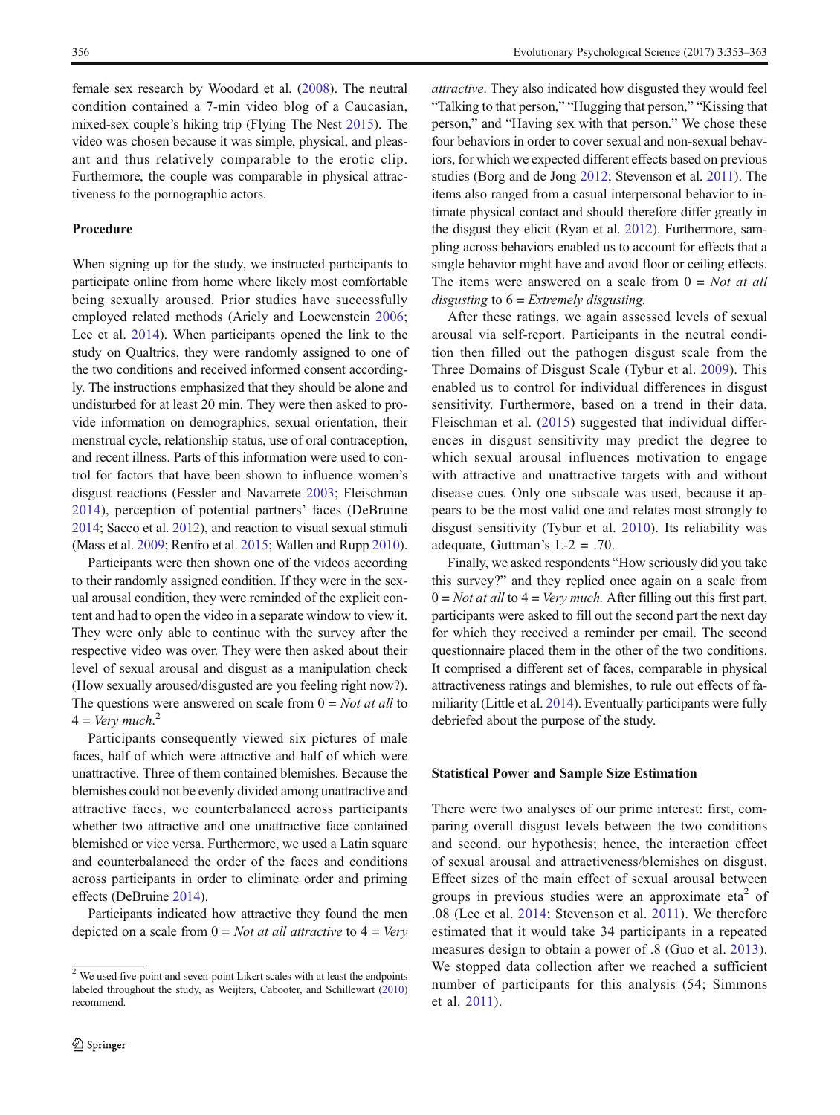female sex research by Woodard et al. [\(2008\)](#page-10-0). The neutral condition contained a 7-min video blog of a Caucasian, mixed-sex couple's hiking trip (Flying The Nest [2015](#page-8-0)). The video was chosen because it was simple, physical, and pleasant and thus relatively comparable to the erotic clip. Furthermore, the couple was comparable in physical attractiveness to the pornographic actors.

## Procedure

When signing up for the study, we instructed participants to participate online from home where likely most comfortable being sexually aroused. Prior studies have successfully employed related methods (Ariely and Loewenstein [2006](#page-8-0); Lee et al. [2014](#page-9-0)). When participants opened the link to the study on Qualtrics, they were randomly assigned to one of the two conditions and received informed consent accordingly. The instructions emphasized that they should be alone and undisturbed for at least 20 min. They were then asked to provide information on demographics, sexual orientation, their menstrual cycle, relationship status, use of oral contraception, and recent illness. Parts of this information were used to control for factors that have been shown to influence women's disgust reactions (Fessler and Navarrete [2003](#page-8-0); Fleischman [2014\)](#page-8-0), perception of potential partners' faces (DeBruine [2014;](#page-8-0) Sacco et al. [2012\)](#page-10-0), and reaction to visual sexual stimuli (Mass et al. [2009;](#page-9-0) Renfro et al. [2015](#page-9-0); Wallen and Rupp [2010\)](#page-10-0).

Participants were then shown one of the videos according to their randomly assigned condition. If they were in the sexual arousal condition, they were reminded of the explicit content and had to open the video in a separate window to view it. They were only able to continue with the survey after the respective video was over. They were then asked about their level of sexual arousal and disgust as a manipulation check (How sexually aroused/disgusted are you feeling right now?). The questions were answered on scale from  $0 = Not$  at all to  $4 = Very much.<sup>2</sup>$ 

Participants consequently viewed six pictures of male faces, half of which were attractive and half of which were unattractive. Three of them contained blemishes. Because the blemishes could not be evenly divided among unattractive and attractive faces, we counterbalanced across participants whether two attractive and one unattractive face contained blemished or vice versa. Furthermore, we used a Latin square and counterbalanced the order of the faces and conditions across participants in order to eliminate order and priming effects (DeBruine [2014](#page-8-0)).

Participants indicated how attractive they found the men depicted on a scale from  $0 = Not$  at all attractive to  $4 = V$ ery attractive. They also indicated how disgusted they would feel "Talking to that person," "Hugging that person," "Kissing that person," and "Having sex with that person." We chose these four behaviors in order to cover sexual and non-sexual behaviors, for which we expected different effects based on previous studies (Borg and de Jong [2012](#page-8-0); Stevenson et al. [2011\)](#page-10-0). The items also ranged from a casual interpersonal behavior to intimate physical contact and should therefore differ greatly in the disgust they elicit (Ryan et al. [2012\)](#page-10-0). Furthermore, sampling across behaviors enabled us to account for effects that a single behavior might have and avoid floor or ceiling effects. The items were answered on a scale from  $0 = Not$  at all disgusting to  $6$  = Extremely disgusting.

After these ratings, we again assessed levels of sexual arousal via self-report. Participants in the neutral condition then filled out the pathogen disgust scale from the Three Domains of Disgust Scale (Tybur et al. [2009](#page-10-0)). This enabled us to control for individual differences in disgust sensitivity. Furthermore, based on a trend in their data, Fleischman et al. [\(2015\)](#page-8-0) suggested that individual differences in disgust sensitivity may predict the degree to which sexual arousal influences motivation to engage with attractive and unattractive targets with and without disease cues. Only one subscale was used, because it appears to be the most valid one and relates most strongly to disgust sensitivity (Tybur et al. [2010](#page-10-0)). Its reliability was adequate, Guttman's L-2 = .70.

Finally, we asked respondents "How seriously did you take this survey?" and they replied once again on a scale from  $0 = Not$  at all to  $4 = Very$  much. After filling out this first part, participants were asked to fill out the second part the next day for which they received a reminder per email. The second questionnaire placed them in the other of the two conditions. It comprised a different set of faces, comparable in physical attractiveness ratings and blemishes, to rule out effects of familiarity (Little et al. [2014\)](#page-9-0). Eventually participants were fully debriefed about the purpose of the study.

#### Statistical Power and Sample Size Estimation

There were two analyses of our prime interest: first, comparing overall disgust levels between the two conditions and second, our hypothesis; hence, the interaction effect of sexual arousal and attractiveness/blemishes on disgust. Effect sizes of the main effect of sexual arousal between groups in previous studies were an approximate  $eta<sup>2</sup>$  of .08 (Lee et al. [2014;](#page-9-0) Stevenson et al. [2011](#page-10-0)). We therefore estimated that it would take 34 participants in a repeated measures design to obtain a power of .8 (Guo et al. [2013](#page-8-0)). We stopped data collection after we reached a sufficient number of participants for this analysis (54; Simmons et al. [2011](#page-10-0)).

<sup>2</sup> We used five-point and seven-point Likert scales with at least the endpoints labeled throughout the study, as Weijters, Cabooter, and Schillewart [\(2010\)](#page-10-0) recommend.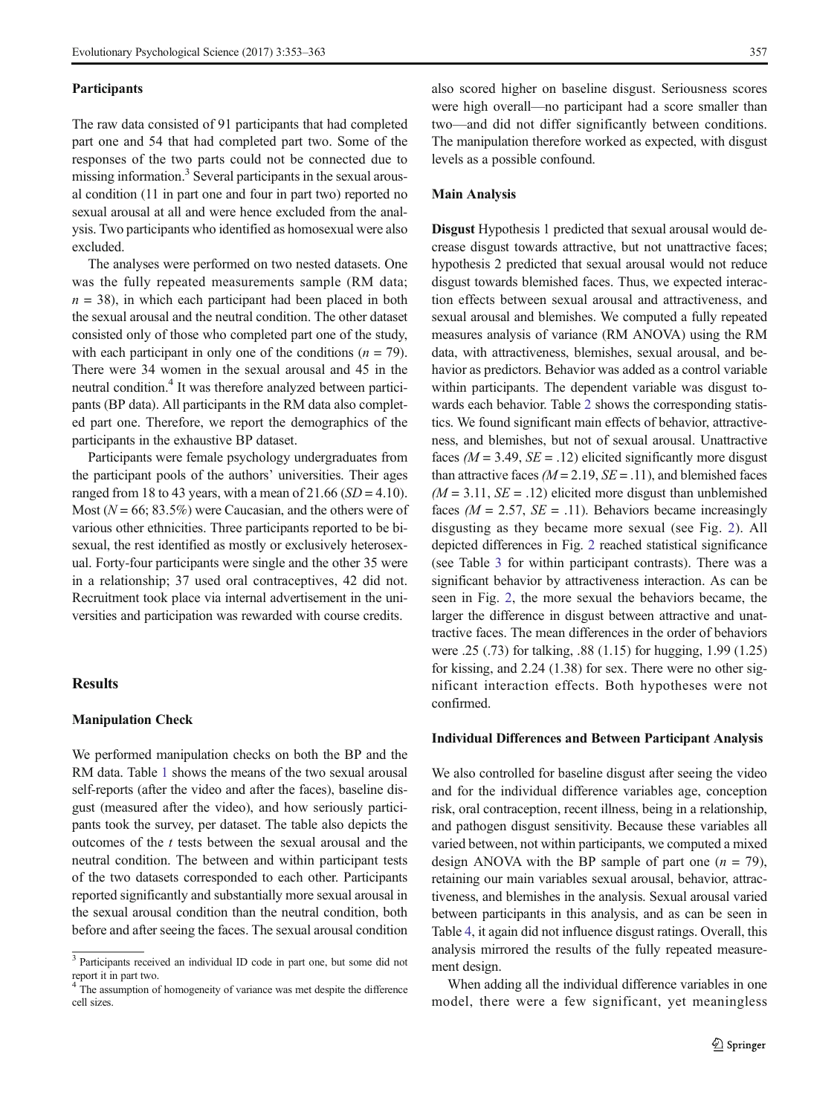#### **Participants**

The raw data consisted of 91 participants that had completed part one and 54 that had completed part two. Some of the responses of the two parts could not be connected due to missing information.3 Several participants in the sexual arousal condition (11 in part one and four in part two) reported no sexual arousal at all and were hence excluded from the analysis. Two participants who identified as homosexual were also excluded.

The analyses were performed on two nested datasets. One was the fully repeated measurements sample (RM data;  $n = 38$ ), in which each participant had been placed in both the sexual arousal and the neutral condition. The other dataset consisted only of those who completed part one of the study, with each participant in only one of the conditions  $(n = 79)$ . There were 34 women in the sexual arousal and 45 in the neutral condition.4 It was therefore analyzed between participants (BP data). All participants in the RM data also completed part one. Therefore, we report the demographics of the participants in the exhaustive BP dataset.

Participants were female psychology undergraduates from the participant pools of the authors' universities. Their ages ranged from 18 to 43 years, with a mean of  $21.66$  ( $SD = 4.10$ ). Most ( $N = 66$ ; 83.5%) were Caucasian, and the others were of various other ethnicities. Three participants reported to be bisexual, the rest identified as mostly or exclusively heterosexual. Forty-four participants were single and the other 35 were in a relationship; 37 used oral contraceptives, 42 did not. Recruitment took place via internal advertisement in the universities and participation was rewarded with course credits.

## **Results**

#### Manipulation Check

We performed manipulation checks on both the BP and the RM data. Table [1](#page-5-0) shows the means of the two sexual arousal self-reports (after the video and after the faces), baseline disgust (measured after the video), and how seriously participants took the survey, per dataset. The table also depicts the outcomes of the  $t$  tests between the sexual arousal and the neutral condition. The between and within participant tests of the two datasets corresponded to each other. Participants reported significantly and substantially more sexual arousal in the sexual arousal condition than the neutral condition, both before and after seeing the faces. The sexual arousal condition also scored higher on baseline disgust. Seriousness scores were high overall—no participant had a score smaller than two—and did not differ significantly between conditions. The manipulation therefore worked as expected, with disgust levels as a possible confound.

### Main Analysis

Disgust Hypothesis 1 predicted that sexual arousal would decrease disgust towards attractive, but not unattractive faces; hypothesis 2 predicted that sexual arousal would not reduce disgust towards blemished faces. Thus, we expected interaction effects between sexual arousal and attractiveness, and sexual arousal and blemishes. We computed a fully repeated measures analysis of variance (RM ANOVA) using the RM data, with attractiveness, blemishes, sexual arousal, and behavior as predictors. Behavior was added as a control variable within participants. The dependent variable was disgust towards each behavior. Table [2](#page-6-0) shows the corresponding statistics. We found significant main effects of behavior, attractiveness, and blemishes, but not of sexual arousal. Unattractive faces ( $M = 3.49$ ,  $SE = .12$ ) elicited significantly more disgust than attractive faces ( $M = 2.19$ ,  $SE = .11$ ), and blemished faces  $(M = 3.11, SE = .12)$  elicited more disgust than unblemished faces ( $M = 2.57$ ,  $SE = .11$ ). Behaviors became increasingly disgusting as they became more sexual (see Fig. [2](#page-6-0)). All depicted differences in Fig. [2](#page-6-0) reached statistical significance (see Table [3](#page-6-0) for within participant contrasts). There was a significant behavior by attractiveness interaction. As can be seen in Fig. [2](#page-6-0), the more sexual the behaviors became, the larger the difference in disgust between attractive and unattractive faces. The mean differences in the order of behaviors were .25 (.73) for talking, .88 (1.15) for hugging, 1.99 (1.25) for kissing, and 2.24 (1.38) for sex. There were no other significant interaction effects. Both hypotheses were not confirmed.

#### Individual Differences and Between Participant Analysis

We also controlled for baseline disgust after seeing the video and for the individual difference variables age, conception risk, oral contraception, recent illness, being in a relationship, and pathogen disgust sensitivity. Because these variables all varied between, not within participants, we computed a mixed design ANOVA with the BP sample of part one  $(n = 79)$ , retaining our main variables sexual arousal, behavior, attractiveness, and blemishes in the analysis. Sexual arousal varied between participants in this analysis, and as can be seen in Table [4,](#page-6-0) it again did not influence disgust ratings. Overall, this analysis mirrored the results of the fully repeated measurement design.

When adding all the individual difference variables in one model, there were a few significant, yet meaningless

<sup>&</sup>lt;sup>3</sup> Participants received an individual ID code in part one, but some did not report it in part two. <sup>4</sup> The assumption of homogeneity of variance was met despite the difference

cell sizes.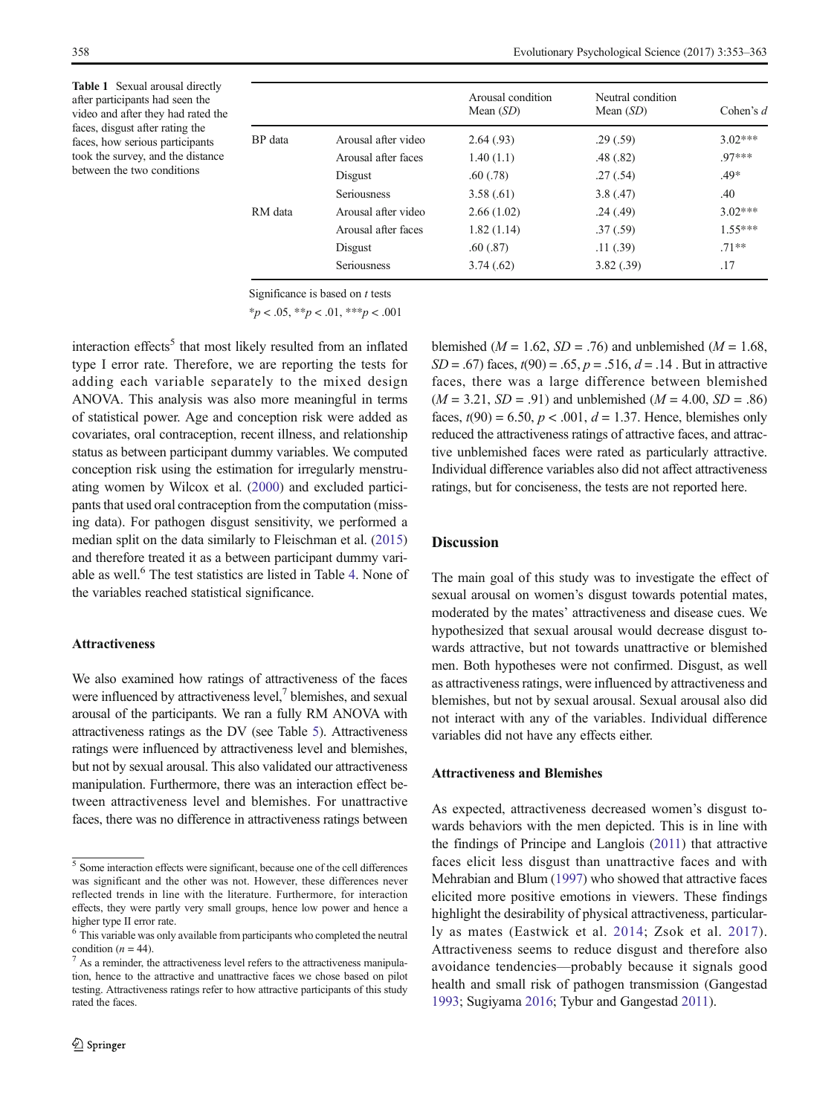<span id="page-5-0"></span>Table 1 Sexual arousal directly after participants had seen the video and after they had rated the faces, disgust after rating the faces, how serious participants took the survey, and the distance between the two conditions

|         |                     | Arousal condition<br>Mean $(SD)$ | Neutral condition<br>Mean $(SD)$ | Cohen's $d$ |
|---------|---------------------|----------------------------------|----------------------------------|-------------|
| BP data | Arousal after video | 2.64(0.93)                       | .29(.59)                         | $3.02***$   |
|         | Arousal after faces | 1.40(1.1)                        | .48(.82)                         | 97***       |
|         | Disgust             | .60(0.78)                        | .27(.54)                         | $.49*$      |
|         | <b>Seriousness</b>  | 3.58(.61)                        | 3.8(0.47)                        | .40         |
| RM data | Arousal after video | 2.66(1.02)                       | .24(.49)                         | $3.02***$   |
|         | Arousal after faces | 1.82(1.14)                       | .37(.59)                         | $1.55***$   |
|         | Disgust             | .60(.87)                         | .11(0.39)                        | $.71**$     |
|         | <b>Seriousness</b>  | 3.74(.62)                        | 3.82(.39)                        | .17         |

Significance is based on  $t$  tests

 $*_{p} < .05, **_{p} < .01, **_{p} < .001$ 

interaction effects<sup>5</sup> that most likely resulted from an inflated type I error rate. Therefore, we are reporting the tests for adding each variable separately to the mixed design ANOVA. This analysis was also more meaningful in terms of statistical power. Age and conception risk were added as covariates, oral contraception, recent illness, and relationship status as between participant dummy variables. We computed conception risk using the estimation for irregularly menstruating women by Wilcox et al. ([2000](#page-10-0)) and excluded participants that used oral contraception from the computation (missing data). For pathogen disgust sensitivity, we performed a median split on the data similarly to Fleischman et al. [\(2015\)](#page-8-0) and therefore treated it as a between participant dummy vari-able as well.<sup>6</sup> The test statistics are listed in Table [4](#page-6-0). None of the variables reached statistical significance.

### Attractiveness

We also examined how ratings of attractiveness of the faces were influenced by attractiveness level, $\frac{7}{1}$  blemishes, and sexual arousal of the participants. We ran a fully RM ANOVA with attractiveness ratings as the DV (see Table [5](#page-7-0)). Attractiveness ratings were influenced by attractiveness level and blemishes, but not by sexual arousal. This also validated our attractiveness manipulation. Furthermore, there was an interaction effect between attractiveness level and blemishes. For unattractive faces, there was no difference in attractiveness ratings between blemished ( $M = 1.62$ ,  $SD = .76$ ) and unblemished ( $M = 1.68$ ,  $SD = .67$ ) faces,  $t(90) = .65$ ,  $p = .516$ ,  $d = .14$ . But in attractive faces, there was a large difference between blemished  $(M = 3.21, SD = .91)$  and unblemished  $(M = 4.00, SD = .86)$ faces,  $t(90) = 6.50, p < .001, d = 1.37$ . Hence, blemishes only reduced the attractiveness ratings of attractive faces, and attractive unblemished faces were rated as particularly attractive. Individual difference variables also did not affect attractiveness ratings, but for conciseness, the tests are not reported here.

## **Discussion**

The main goal of this study was to investigate the effect of sexual arousal on women's disgust towards potential mates, moderated by the mates' attractiveness and disease cues. We hypothesized that sexual arousal would decrease disgust towards attractive, but not towards unattractive or blemished men. Both hypotheses were not confirmed. Disgust, as well as attractiveness ratings, were influenced by attractiveness and blemishes, but not by sexual arousal. Sexual arousal also did not interact with any of the variables. Individual difference variables did not have any effects either.

## Attractiveness and Blemishes

As expected, attractiveness decreased women's disgust towards behaviors with the men depicted. This is in line with the findings of Principe and Langlois [\(2011](#page-9-0)) that attractive faces elicit less disgust than unattractive faces and with Mehrabian and Blum ([1997](#page-9-0)) who showed that attractive faces elicited more positive emotions in viewers. These findings highlight the desirability of physical attractiveness, particularly as mates (Eastwick et al. [2014;](#page-8-0) Zsok et al. [2017](#page-10-0)). Attractiveness seems to reduce disgust and therefore also avoidance tendencies—probably because it signals good health and small risk of pathogen transmission (Gangestad [1993;](#page-8-0) Sugiyama [2016](#page-10-0); Tybur and Gangestad [2011\)](#page-10-0).

<sup>5</sup> Some interaction effects were significant, because one of the cell differences was significant and the other was not. However, these differences never reflected trends in line with the literature. Furthermore, for interaction effects, they were partly very small groups, hence low power and hence a higher type II error rate.

<sup>6</sup> This variable was only available from participants who completed the neutral condition ( $n = 44$ ).<br><sup>7</sup> As a reminder, the attractiveness level refers to the attractiveness manipula-

tion, hence to the attractive and unattractive faces we chose based on pilot testing. Attractiveness ratings refer to how attractive participants of this study rated the faces.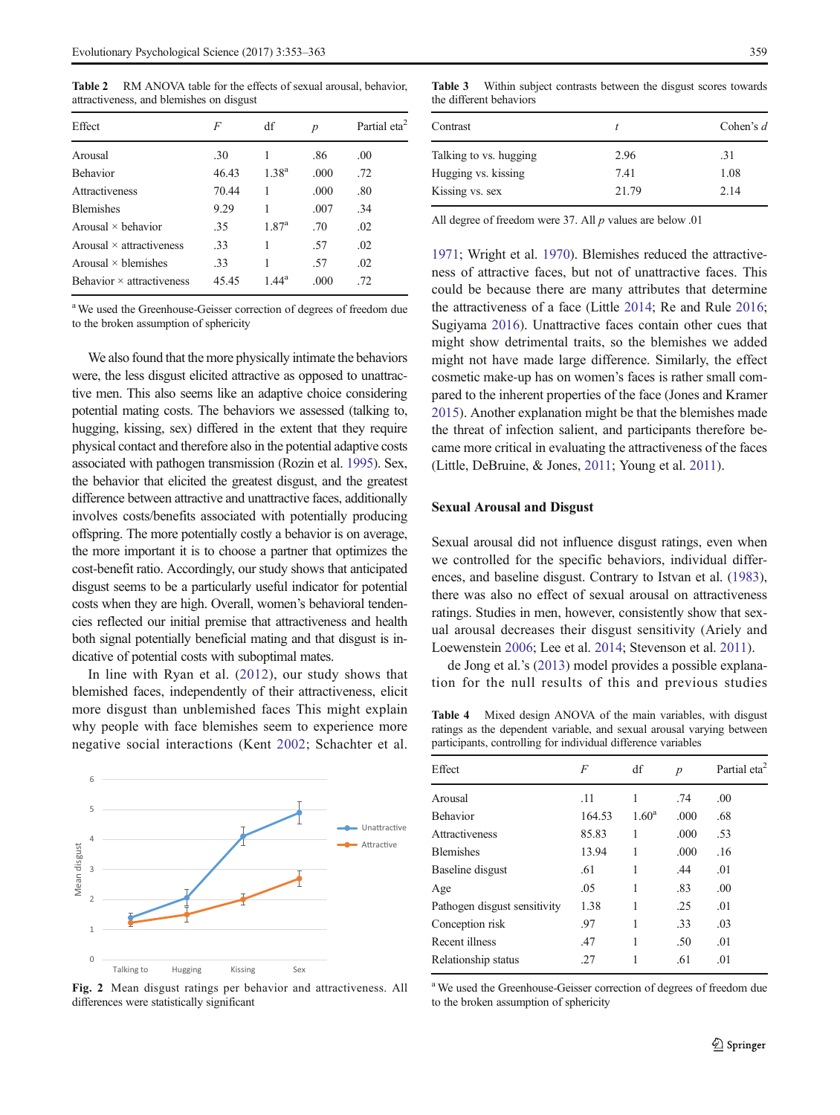<span id="page-6-0"></span>Table 2 RM ANOVA table for the effects of sexual arousal, behavior, attractiveness, and blemishes on disgust

| F     | df             | $\boldsymbol{p}$ | Partial eta <sup>2</sup> |
|-------|----------------|------------------|--------------------------|
| .30   |                | .86              | .00.                     |
| 46.43 | $1.38^{a}$     | .000             | .72                      |
| 70.44 |                | .000             | .80                      |
| 9.29  | 1              | .007             | .34                      |
| .35   | $1.87^{\rm a}$ | .70              | .02                      |
| .33   | 1              | .57              | .02                      |
| .33   |                | .57              | .02                      |
| 45.45 | $1.44^{\rm a}$ | .000             | .72                      |
|       |                |                  |                          |

<sup>a</sup> We used the Greenhouse-Geisser correction of degrees of freedom due to the broken assumption of sphericity

We also found that the more physically intimate the behaviors were, the less disgust elicited attractive as opposed to unattractive men. This also seems like an adaptive choice considering potential mating costs. The behaviors we assessed (talking to, hugging, kissing, sex) differed in the extent that they require physical contact and therefore also in the potential adaptive costs associated with pathogen transmission (Rozin et al. [1995\)](#page-10-0). Sex, the behavior that elicited the greatest disgust, and the greatest difference between attractive and unattractive faces, additionally involves costs/benefits associated with potentially producing offspring. The more potentially costly a behavior is on average, the more important it is to choose a partner that optimizes the cost-benefit ratio. Accordingly, our study shows that anticipated disgust seems to be a particularly useful indicator for potential costs when they are high. Overall, women's behavioral tendencies reflected our initial premise that attractiveness and health both signal potentially beneficial mating and that disgust is indicative of potential costs with suboptimal mates.

In line with Ryan et al. ([2012\)](#page-10-0), our study shows that blemished faces, independently of their attractiveness, elicit more disgust than unblemished faces This might explain why people with face blemishes seem to experience more negative social interactions (Kent [2002;](#page-9-0) Schachter et al.



Fig. 2 Mean disgust ratings per behavior and attractiveness. All differences were statistically significant

Table 3 Within subject contrasts between the disgust scores towards the different behaviors

| Contrast               |       | Cohen's $d$ |
|------------------------|-------|-------------|
| Talking to vs. hugging | 2.96  | .31         |
| Hugging vs. kissing    | 7.41  | 1.08        |
| Kissing vs. sex        | 21.79 | 2.14        |

All degree of freedom were 37. All  $p$  values are below .01

[1971;](#page-10-0) Wright et al. [1970](#page-10-0)). Blemishes reduced the attractiveness of attractive faces, but not of unattractive faces. This could be because there are many attributes that determine the attractiveness of a face (Little [2014](#page-9-0); Re and Rule [2016;](#page-9-0) Sugiyama [2016\)](#page-10-0). Unattractive faces contain other cues that might show detrimental traits, so the blemishes we added might not have made large difference. Similarly, the effect cosmetic make-up has on women's faces is rather small compared to the inherent properties of the face (Jones and Kramer [2015\)](#page-9-0). Another explanation might be that the blemishes made the threat of infection salient, and participants therefore became more critical in evaluating the attractiveness of the faces (Little, DeBruine, & Jones, [2011;](#page-9-0) Young et al. [2011](#page-10-0)).

### Sexual Arousal and Disgust

Sexual arousal did not influence disgust ratings, even when we controlled for the specific behaviors, individual differences, and baseline disgust. Contrary to Istvan et al. [\(1983\)](#page-9-0), there was also no effect of sexual arousal on attractiveness ratings. Studies in men, however, consistently show that sexual arousal decreases their disgust sensitivity (Ariely and Loewenstein [2006;](#page-8-0) Lee et al. [2014](#page-9-0); Stevenson et al. [2011\)](#page-10-0).

de Jong et al.'s [\(2013](#page-9-0)) model provides a possible explanation for the null results of this and previous studies

Table 4 Mixed design ANOVA of the main variables, with disgust ratings as the dependent variable, and sexual arousal varying between participants, controlling for individual difference variables

| Effect                       | F      | df             | $\boldsymbol{p}$ | Partial eta <sup>2</sup> |
|------------------------------|--------|----------------|------------------|--------------------------|
| Arousal                      | .11    | 1              | .74              | .00                      |
| <b>Behavior</b>              | 164.53 | $1.60^{\rm a}$ | .000             | .68                      |
| <b>Attractiveness</b>        | 85.83  | 1              | .000             | .53                      |
| <b>Blemishes</b>             | 13.94  | 1              | .000             | .16                      |
| Baseline disgust             | .61    | 1              | .44              | .01                      |
| Age                          | .05    | 1              | .83              | .00                      |
| Pathogen disgust sensitivity | 1.38   | 1              | .25              | .01                      |
| Conception risk              | .97    | 1              | .33              | .03                      |
| Recent illness               | .47    | 1              | .50              | .01                      |
| Relationship status          | .27    | 1              | .61              | .01                      |

<sup>a</sup> We used the Greenhouse-Geisser correction of degrees of freedom due to the broken assumption of sphericity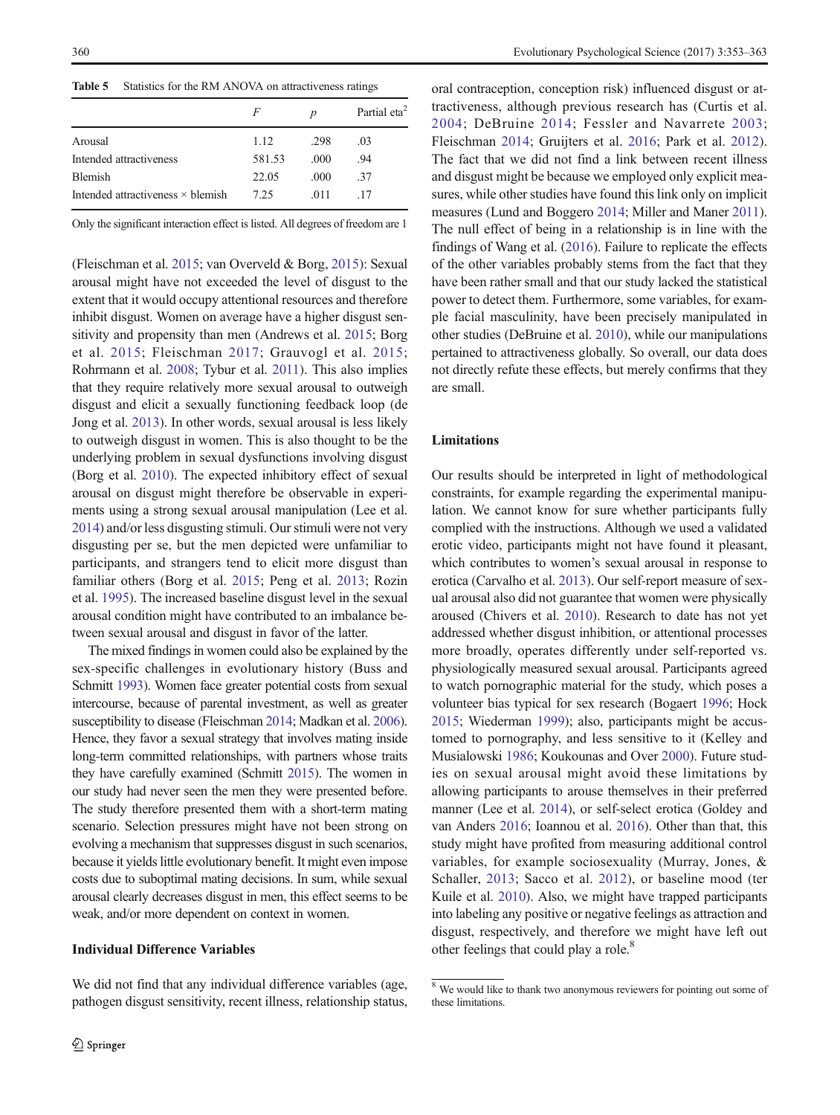<span id="page-7-0"></span>Table 5 Statistics for the RM ANOVA on attractiveness ratings

|                                          | F      | $\boldsymbol{D}$ | Partial eta <sup>2</sup> |
|------------------------------------------|--------|------------------|--------------------------|
| Arousal                                  | 1.12   | .298             | .03                      |
| Intended attractiveness                  | 581.53 | .000             | .94                      |
| <b>Blemish</b>                           | 22.05  | .000             | .37                      |
| Intended attractiveness $\times$ blemish | 7.25   | .011             | .17                      |

Only the significant interaction effect is listed. All degrees of freedom are 1

(Fleischman et al. [2015](#page-8-0); van Overveld & Borg, [2015\)](#page-9-0): Sexual arousal might have not exceeded the level of disgust to the extent that it would occupy attentional resources and therefore inhibit disgust. Women on average have a higher disgust sensitivity and propensity than men (Andrews et al. [2015](#page-8-0); Borg et al. [2015](#page-8-0); Fleischman [2017](#page-8-0); Grauvogl et al. [2015](#page-8-0); Rohrmann et al. [2008;](#page-10-0) Tybur et al. [2011](#page-10-0)). This also implies that they require relatively more sexual arousal to outweigh disgust and elicit a sexually functioning feedback loop (de Jong et al. [2013](#page-9-0)). In other words, sexual arousal is less likely to outweigh disgust in women. This is also thought to be the underlying problem in sexual dysfunctions involving disgust (Borg et al. [2010](#page-8-0)). The expected inhibitory effect of sexual arousal on disgust might therefore be observable in experiments using a strong sexual arousal manipulation (Lee et al. [2014\)](#page-9-0) and/or less disgusting stimuli. Our stimuli were not very disgusting per se, but the men depicted were unfamiliar to participants, and strangers tend to elicit more disgust than familiar others (Borg et al. [2015;](#page-8-0) Peng et al. [2013;](#page-9-0) Rozin et al. [1995\)](#page-10-0). The increased baseline disgust level in the sexual arousal condition might have contributed to an imbalance between sexual arousal and disgust in favor of the latter.

The mixed findings in women could also be explained by the sex-specific challenges in evolutionary history (Buss and Schmitt [1993\)](#page-8-0). Women face greater potential costs from sexual intercourse, because of parental investment, as well as greater susceptibility to disease (Fleischman [2014](#page-8-0); Madkan et al. [2006\)](#page-9-0). Hence, they favor a sexual strategy that involves mating inside long-term committed relationships, with partners whose traits they have carefully examined (Schmitt [2015\)](#page-10-0). The women in our study had never seen the men they were presented before. The study therefore presented them with a short-term mating scenario. Selection pressures might have not been strong on evolving a mechanism that suppresses disgust in such scenarios, because it yields little evolutionary benefit. It might even impose costs due to suboptimal mating decisions. In sum, while sexual arousal clearly decreases disgust in men, this effect seems to be weak, and/or more dependent on context in women.

## Individual Difference Variables

We did not find that any individual difference variables (age, pathogen disgust sensitivity, recent illness, relationship status, oral contraception, conception risk) influenced disgust or attractiveness, although previous research has (Curtis et al. [2004](#page-8-0); DeBruine [2014](#page-8-0); Fessler and Navarrete [2003;](#page-8-0) Fleischman [2014;](#page-8-0) Gruijters et al. [2016;](#page-8-0) Park et al. [2012\)](#page-9-0). The fact that we did not find a link between recent illness and disgust might be because we employed only explicit measures, while other studies have found this link only on implicit measures (Lund and Boggero [2014](#page-9-0); Miller and Maner [2011\)](#page-9-0). The null effect of being in a relationship is in line with the findings of Wang et al. [\(2016\)](#page-10-0). Failure to replicate the effects of the other variables probably stems from the fact that they have been rather small and that our study lacked the statistical power to detect them. Furthermore, some variables, for example facial masculinity, have been precisely manipulated in other studies (DeBruine et al. [2010\)](#page-8-0), while our manipulations pertained to attractiveness globally. So overall, our data does not directly refute these effects, but merely confirms that they are small.

# Limitations

Our results should be interpreted in light of methodological constraints, for example regarding the experimental manipulation. We cannot know for sure whether participants fully complied with the instructions. Although we used a validated erotic video, participants might not have found it pleasant, which contributes to women's sexual arousal in response to erotica (Carvalho et al. [2013\)](#page-8-0). Our self-report measure of sexual arousal also did not guarantee that women were physically aroused (Chivers et al. [2010](#page-8-0)). Research to date has not yet addressed whether disgust inhibition, or attentional processes more broadly, operates differently under self-reported vs. physiologically measured sexual arousal. Participants agreed to watch pornographic material for the study, which poses a volunteer bias typical for sex research (Bogaert [1996](#page-8-0); Hock [2015;](#page-9-0) Wiederman [1999](#page-10-0)); also, participants might be accustomed to pornography, and less sensitive to it (Kelley and Musialowski [1986](#page-9-0); Koukounas and Over [2000\)](#page-9-0). Future studies on sexual arousal might avoid these limitations by allowing participants to arouse themselves in their preferred manner (Lee et al. [2014\)](#page-9-0), or self-select erotica (Goldey and van Anders [2016](#page-8-0); Ioannou et al. [2016\)](#page-9-0). Other than that, this study might have profited from measuring additional control variables, for example sociosexuality (Murray, Jones, & Schaller, [2013](#page-9-0); Sacco et al. [2012\)](#page-10-0), or baseline mood (ter Kuile et al. [2010\)](#page-9-0). Also, we might have trapped participants into labeling any positive or negative feelings as attraction and disgust, respectively, and therefore we might have left out other feelings that could play a role.<sup>8</sup>

<sup>&</sup>lt;sup>8</sup> We would like to thank two anonymous reviewers for pointing out some of these limitations.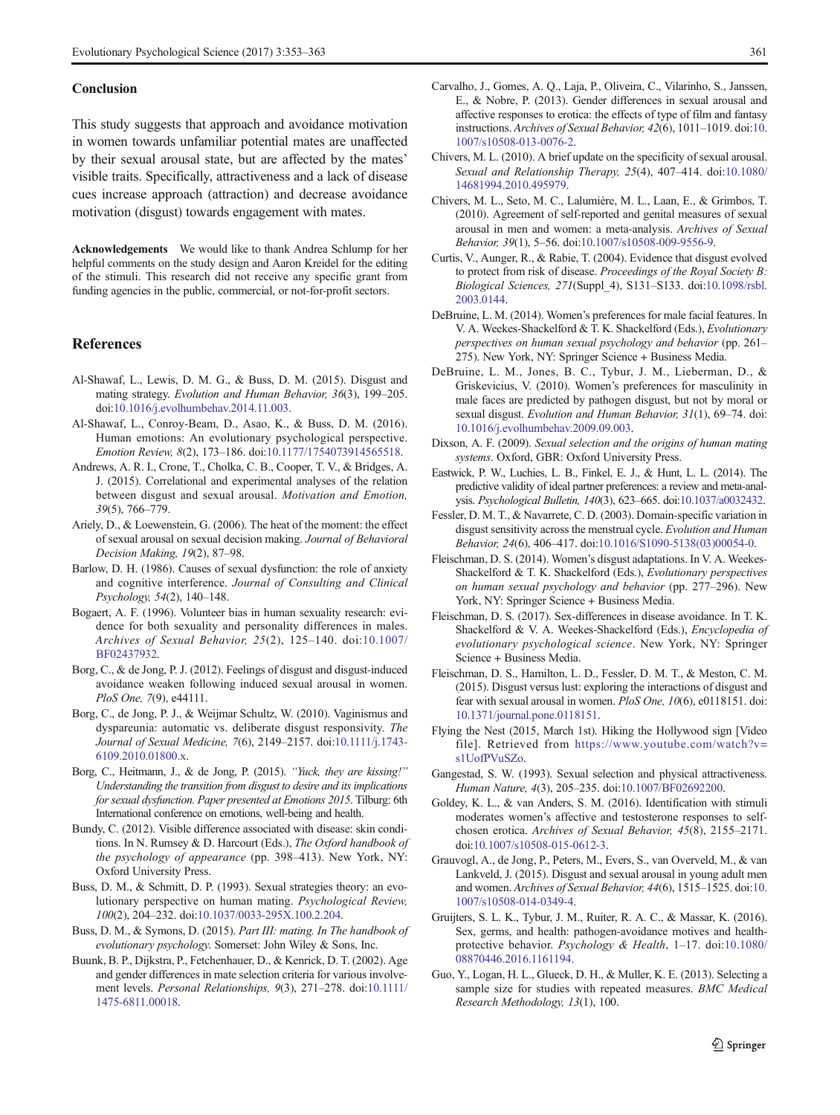#### <span id="page-8-0"></span>Conclusion

This study suggests that approach and avoidance motivation in women towards unfamiliar potential mates are unaffected by their sexual arousal state, but are affected by the mates' visible traits. Specifically, attractiveness and a lack of disease cues increase approach (attraction) and decrease avoidance motivation (disgust) towards engagement with mates.

Acknowledgements We would like to thank Andrea Schlump for her helpful comments on the study design and Aaron Kreidel for the editing of the stimuli. This research did not receive any specific grant from funding agencies in the public, commercial, or not-for-profit sectors.

#### References

- Al-Shawaf, L., Lewis, D. M. G., & Buss, D. M. (2015). Disgust and mating strategy. Evolution and Human Behavior, 36(3), 199–205. doi:[10.1016/j.evolhumbehav.2014.11.003.](http://dx.doi.org/10.1016/j.evolhumbehav.2014.11.003)
- Al-Shawaf, L., Conroy-Beam, D., Asao, K., & Buss, D. M. (2016). Human emotions: An evolutionary psychological perspective. Emotion Review, 8(2), 173–186. doi[:10.1177/1754073914565518.](http://dx.doi.org/10.1177/1754073914565518)
- Andrews, A. R. I., Crone, T., Cholka, C. B., Cooper, T. V., & Bridges, A. J. (2015). Correlational and experimental analyses of the relation between disgust and sexual arousal. Motivation and Emotion, 39(5), 766–779.
- Ariely, D., & Loewenstein, G. (2006). The heat of the moment: the effect of sexual arousal on sexual decision making. Journal of Behavioral Decision Making, 19(2), 87–98.
- Barlow, D. H. (1986). Causes of sexual dysfunction: the role of anxiety and cognitive interference. Journal of Consulting and Clinical Psychology, 54(2), 140–148.
- Bogaert, A. F. (1996). Volunteer bias in human sexuality research: evidence for both sexuality and personality differences in males. Archives of Sexual Behavior, 25(2), 125–140. doi:[10.1007/](http://dx.doi.org/10.1007/BF02437932) [BF02437932](http://dx.doi.org/10.1007/BF02437932).
- Borg, C., & de Jong, P. J. (2012). Feelings of disgust and disgust-induced avoidance weaken following induced sexual arousal in women. PloS One, 7(9), e44111.
- Borg, C., de Jong, P. J., & Weijmar Schultz, W. (2010). Vaginismus and dyspareunia: automatic vs. deliberate disgust responsivity. The Journal of Sexual Medicine, 7(6), 2149–2157. doi[:10.1111/j.1743-](http://dx.doi.org/10.1111/j.1743-6109.2010.01800.x) [6109.2010.01800.x.](http://dx.doi.org/10.1111/j.1743-6109.2010.01800.x)
- Borg, C., Heitmann, J., & de Jong, P. (2015). "Yuck, they are kissing!" Understanding the transition from disgust to desire and its implications for sexual dysfunction. Paper presented at Emotions 2015. Tilburg: 6th International conference on emotions, well-being and health.
- Bundy, C. (2012). Visible difference associated with disease: skin conditions. In N. Rumsey & D. Harcourt (Eds.), The Oxford handbook of the psychology of appearance (pp. 398–413). New York, NY: Oxford University Press.
- Buss, D. M., & Schmitt, D. P. (1993). Sexual strategies theory: an evolutionary perspective on human mating. Psychological Review, 100(2), 204–232. doi[:10.1037/0033-295X.100.2.204.](http://dx.doi.org/10.1037/0033-295X.100.2.204)
- Buss, D. M., & Symons, D. (2015). Part III: mating. In The handbook of evolutionary psychology. Somerset: John Wiley & Sons, Inc.
- Buunk, B. P., Dijkstra, P., Fetchenhauer, D., & Kenrick, D. T. (2002). Age and gender differences in mate selection criteria for various involvement levels. Personal Relationships, 9(3), 271–278. doi:[10.1111/](http://dx.doi.org/10.1111/1475-6811.00018) [1475-6811.00018](http://dx.doi.org/10.1111/1475-6811.00018).
- Carvalho, J., Gomes, A. Q., Laja, P., Oliveira, C., Vilarinho, S., Janssen, E., & Nobre, P. (2013). Gender differences in sexual arousal and affective responses to erotica: the effects of type of film and fantasy instructions. Archives of Sexual Behavior, 42(6), 1011–1019. doi[:10.](http://dx.doi.org/10.1007/s10508-013-0076-2) [1007/s10508-013-0076-2.](http://dx.doi.org/10.1007/s10508-013-0076-2)
- Chivers, M. L. (2010). A brief update on the specificity of sexual arousal. Sexual and Relationship Therapy, 25(4), 407-414. doi[:10.1080/](http://dx.doi.org/10.1080/14681994.2010.495979) [14681994.2010.495979.](http://dx.doi.org/10.1080/14681994.2010.495979)
- Chivers, M. L., Seto, M. C., Lalumière, M. L., Laan, E., & Grimbos, T. (2010). Agreement of self-reported and genital measures of sexual arousal in men and women: a meta-analysis. Archives of Sexual Behavior, 39(1), 5–56. doi[:10.1007/s10508-009-9556-9.](http://dx.doi.org/10.1007/s10508-009-9556-9)
- Curtis, V., Aunger, R., & Rabie, T. (2004). Evidence that disgust evolved to protect from risk of disease. Proceedings of the Royal Society B: Biological Sciences, 271(Suppl\_4), S131–S133. doi:[10.1098/rsbl.](http://dx.doi.org/10.1098/rsbl.2003.0144) [2003.0144](http://dx.doi.org/10.1098/rsbl.2003.0144).
- DeBruine, L. M. (2014). Women's preferences for male facial features. In V. A. Weekes-Shackelford & T. K. Shackelford (Eds.), Evolutionary perspectives on human sexual psychology and behavior (pp. 261– 275). New York, NY: Springer Science + Business Media.
- DeBruine, L. M., Jones, B. C., Tybur, J. M., Lieberman, D., & Griskevicius, V. (2010). Women's preferences for masculinity in male faces are predicted by pathogen disgust, but not by moral or sexual disgust. Evolution and Human Behavior, 31(1), 69-74. doi: [10.1016/j.evolhumbehav.2009.09.003](http://dx.doi.org/10.1016/j.evolhumbehav.2009.09.003).
- Dixson, A. F. (2009). Sexual selection and the origins of human mating systems. Oxford, GBR: Oxford University Press.
- Eastwick, P. W., Luchies, L. B., Finkel, E. J., & Hunt, L. L. (2014). The predictive validity of ideal partner preferences: a review and meta-analysis. Psychological Bulletin, 140(3), 623–665. doi[:10.1037/a0032432](http://dx.doi.org/10.1037/a0032432).
- Fessler, D. M. T., & Navarrete, C. D. (2003). Domain-specific variation in disgust sensitivity across the menstrual cycle. Evolution and Human Behavior, 24(6), 406–417. doi[:10.1016/S1090-5138\(03\)00054-0.](http://dx.doi.org/10.1016/S1090-5138(03)00054-0)
- Fleischman, D. S. (2014). Women's disgust adaptations. In V. A. Weekes-Shackelford & T. K. Shackelford (Eds.), Evolutionary perspectives on human sexual psychology and behavior (pp. 277–296). New York, NY: Springer Science + Business Media.
- Fleischman, D. S. (2017). Sex-differences in disease avoidance. In T. K. Shackelford & V. A. Weekes-Shackelford (Eds.), Encyclopedia of evolutionary psychological science. New York, NY: Springer Science + Business Media.
- Fleischman, D. S., Hamilton, L. D., Fessler, D. M. T., & Meston, C. M. (2015). Disgust versus lust: exploring the interactions of disgust and fear with sexual arousal in women. PloS One, 10(6), e0118151. doi: [10.1371/journal.pone.0118151.](http://dx.doi.org/10.1371/journal.pone.0118151)
- Flying the Nest (2015, March 1st). Hiking the Hollywood sign [Video file]. Retrieved from [https://www.youtube.com/watch?v=](https://www.youtube.com/watch?v=s1UofPVuSZo) [s1UofPVuSZo](https://www.youtube.com/watch?v=s1UofPVuSZo).
- Gangestad, S. W. (1993). Sexual selection and physical attractiveness. Human Nature, 4(3), 205–235. doi[:10.1007/BF02692200.](http://dx.doi.org/10.1007/BF02692200)
- Goldey, K. L., & van Anders, S. M. (2016). Identification with stimuli moderates women's affective and testosterone responses to selfchosen erotica. Archives of Sexual Behavior, 45(8), 2155–2171. doi:[10.1007/s10508-015-0612-3.](http://dx.doi.org/10.1007/s10508-015-0612-3)
- Grauvogl, A., de Jong, P., Peters, M., Evers, S., van Overveld, M., & van Lankveld, J. (2015). Disgust and sexual arousal in young adult men and women. Archives of Sexual Behavior, 44(6), 1515–1525. doi[:10.](http://dx.doi.org/10.1007/s10508-014-0349-4) [1007/s10508-014-0349-4.](http://dx.doi.org/10.1007/s10508-014-0349-4)
- Gruijters, S. L. K., Tybur, J. M., Ruiter, R. A. C., & Massar, K. (2016). Sex, germs, and health: pathogen-avoidance motives and healthprotective behavior. Psychology & Health, 1–17. doi:[10.1080/](http://dx.doi.org/10.1080/08870446.2016.1161194) [08870446.2016.1161194](http://dx.doi.org/10.1080/08870446.2016.1161194).
- Guo, Y., Logan, H. L., Glueck, D. H., & Muller, K. E. (2013). Selecting a sample size for studies with repeated measures. BMC Medical Research Methodology, 13(1), 100.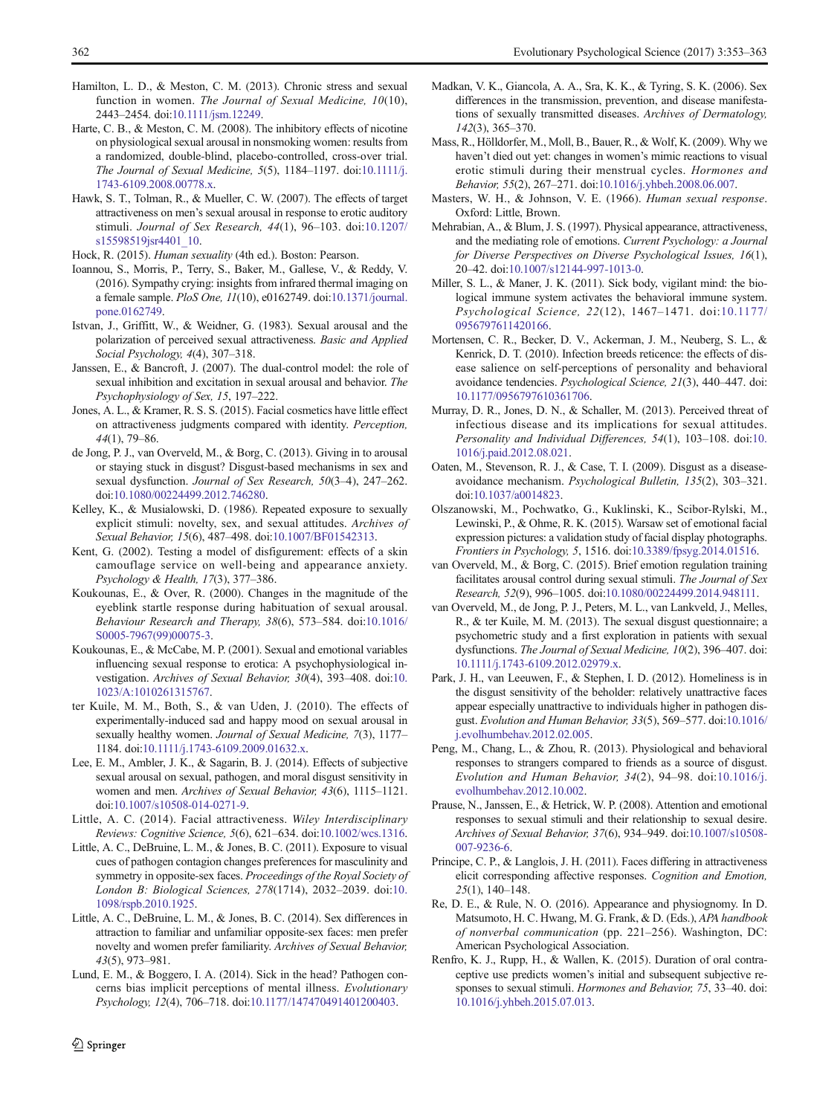- <span id="page-9-0"></span>Hamilton, L. D., & Meston, C. M. (2013). Chronic stress and sexual function in women. The Journal of Sexual Medicine, 10(10), 2443–2454. doi[:10.1111/jsm.12249.](http://dx.doi.org/10.1111/jsm.12249)
- Harte, C. B., & Meston, C. M. (2008). The inhibitory effects of nicotine on physiological sexual arousal in nonsmoking women: results from a randomized, double-blind, placebo-controlled, cross-over trial. The Journal of Sexual Medicine, 5(5), 1184–1197. doi[:10.1111/j.](http://dx.doi.org/10.1111/j.1743-6109.2008.00778.x) [1743-6109.2008.00778.x](http://dx.doi.org/10.1111/j.1743-6109.2008.00778.x).
- Hawk, S. T., Tolman, R., & Mueller, C. W. (2007). The effects of target attractiveness on men's sexual arousal in response to erotic auditory stimuli. Journal of Sex Research, 44(1), 96–103. doi:[10.1207/](http://dx.doi.org/10.1207/s15598519jsr4401_10) [s15598519jsr4401\\_10](http://dx.doi.org/10.1207/s15598519jsr4401_10).
- Hock, R. (2015). Human sexuality (4th ed.). Boston: Pearson.
- Ioannou, S., Morris, P., Terry, S., Baker, M., Gallese, V., & Reddy, V. (2016). Sympathy crying: insights from infrared thermal imaging on a female sample. PloS One, 11(10), e0162749. doi[:10.1371/journal.](http://dx.doi.org/10.1371/journal.pone.0162749) [pone.0162749.](http://dx.doi.org/10.1371/journal.pone.0162749)
- Istvan, J., Griffitt, W., & Weidner, G. (1983). Sexual arousal and the polarization of perceived sexual attractiveness. Basic and Applied Social Psychology, 4(4), 307–318.
- Janssen, E., & Bancroft, J. (2007). The dual-control model: the role of sexual inhibition and excitation in sexual arousal and behavior. The Psychophysiology of Sex, 15, 197–222.
- Jones, A. L., & Kramer, R. S. S. (2015). Facial cosmetics have little effect on attractiveness judgments compared with identity. Perception, 44(1), 79–86.
- de Jong, P. J., van Overveld, M., & Borg, C. (2013). Giving in to arousal or staying stuck in disgust? Disgust-based mechanisms in sex and sexual dysfunction. Journal of Sex Research, 50(3–4), 247–262. doi:[10.1080/00224499.2012.746280](http://dx.doi.org/10.1080/00224499.2012.746280).
- Kelley, K., & Musialowski, D. (1986). Repeated exposure to sexually explicit stimuli: novelty, sex, and sexual attitudes. Archives of Sexual Behavior, 15(6), 487–498. doi[:10.1007/BF01542313.](http://dx.doi.org/10.1007/BF01542313)
- Kent, G. (2002). Testing a model of disfigurement: effects of a skin camouflage service on well-being and appearance anxiety. Psychology & Health, 17(3), 377–386.
- Koukounas, E., & Over, R. (2000). Changes in the magnitude of the eyeblink startle response during habituation of sexual arousal. Behaviour Research and Therapy, 38(6), 573–584. doi[:10.1016/](http://dx.doi.org/10.1016/S0005-7967(99)00075-3) [S0005-7967\(99\)00075-3](http://dx.doi.org/10.1016/S0005-7967(99)00075-3).
- Koukounas, E., & McCabe, M. P. (2001). Sexual and emotional variables influencing sexual response to erotica: A psychophysiological investigation. Archives of Sexual Behavior, 30(4), 393–408. doi:[10.](http://dx.doi.org/10.1023/A:1010261315767) [1023/A:1010261315767.](http://dx.doi.org/10.1023/A:1010261315767)
- ter Kuile, M. M., Both, S., & van Uden, J. (2010). The effects of experimentally-induced sad and happy mood on sexual arousal in sexually healthy women. Journal of Sexual Medicine, 7(3), 1177– 1184. doi[:10.1111/j.1743-6109.2009.01632.x.](http://dx.doi.org/10.1111/j.1743-6109.2009.01632.x)
- Lee, E. M., Ambler, J. K., & Sagarin, B. J. (2014). Effects of subjective sexual arousal on sexual, pathogen, and moral disgust sensitivity in women and men. Archives of Sexual Behavior, 43(6), 1115–1121. doi:[10.1007/s10508-014-0271-9.](http://dx.doi.org/10.1007/s10508-014-0271-9)
- Little, A. C. (2014). Facial attractiveness. Wiley Interdisciplinary Reviews: Cognitive Science, 5(6), 621–634. doi:[10.1002/wcs.1316](http://dx.doi.org/10.1002/wcs.1316).
- Little, A. C., DeBruine, L. M., & Jones, B. C. (2011). Exposure to visual cues of pathogen contagion changes preferences for masculinity and symmetry in opposite-sex faces. Proceedings of the Royal Society of London B: Biological Sciences, 278(1714), 2032–2039. doi[:10.](http://dx.doi.org/10.1098/rspb.2010.1925) [1098/rspb.2010.1925.](http://dx.doi.org/10.1098/rspb.2010.1925)
- Little, A. C., DeBruine, L. M., & Jones, B. C. (2014). Sex differences in attraction to familiar and unfamiliar opposite-sex faces: men prefer novelty and women prefer familiarity. Archives of Sexual Behavior, 43(5), 973–981.
- Lund, E. M., & Boggero, I. A. (2014). Sick in the head? Pathogen concerns bias implicit perceptions of mental illness. Evolutionary Psychology, 12(4), 706–718. doi[:10.1177/147470491401200403.](http://dx.doi.org/10.1177/147470491401200403)
- $\hat{Z}$  Springer
- Madkan, V. K., Giancola, A. A., Sra, K. K., & Tyring, S. K. (2006). Sex differences in the transmission, prevention, and disease manifestations of sexually transmitted diseases. Archives of Dermatology, 142(3), 365–370.
- Mass, R., Hölldorfer, M., Moll, B., Bauer, R., & Wolf, K. (2009). Why we haven't died out yet: changes in women's mimic reactions to visual erotic stimuli during their menstrual cycles. Hormones and Behavior, 55(2), 267–271. doi[:10.1016/j.yhbeh.2008.06.007](http://dx.doi.org/10.1016/j.yhbeh.2008.06.007).
- Masters, W. H., & Johnson, V. E. (1966). Human sexual response. Oxford: Little, Brown.
- Mehrabian, A., & Blum, J. S. (1997). Physical appearance, attractiveness, and the mediating role of emotions. Current Psychology: a Journal for Diverse Perspectives on Diverse Psychological Issues, 16(1), 20–42. doi:[10.1007/s12144-997-1013-0.](http://dx.doi.org/10.1007/s12144-997-1013-0)
- Miller, S. L., & Maner, J. K. (2011). Sick body, vigilant mind: the biological immune system activates the behavioral immune system. Psychological Science, 22(12), 1467–1471. doi:[10.1177/](http://dx.doi.org/10.1177/0956797611420166) [0956797611420166](http://dx.doi.org/10.1177/0956797611420166).
- Mortensen, C. R., Becker, D. V., Ackerman, J. M., Neuberg, S. L., & Kenrick, D. T. (2010). Infection breeds reticence: the effects of disease salience on self-perceptions of personality and behavioral avoidance tendencies. Psychological Science, 21(3), 440–447. doi: [10.1177/0956797610361706.](http://dx.doi.org/10.1177/0956797610361706)
- Murray, D. R., Jones, D. N., & Schaller, M. (2013). Perceived threat of infectious disease and its implications for sexual attitudes. Personality and Individual Differences, 54(1), 103–108. doi:[10.](http://dx.doi.org/10.1016/j.paid.2012.08.021) [1016/j.paid.2012.08.021](http://dx.doi.org/10.1016/j.paid.2012.08.021).
- Oaten, M., Stevenson, R. J., & Case, T. I. (2009). Disgust as a diseaseavoidance mechanism. Psychological Bulletin, 135(2), 303–321. doi:[10.1037/a0014823](http://dx.doi.org/10.1037/a0014823).
- Olszanowski, M., Pochwatko, G., Kuklinski, K., Scibor-Rylski, M., Lewinski, P., & Ohme, R. K. (2015). Warsaw set of emotional facial expression pictures: a validation study of facial display photographs. Frontiers in Psychology, 5, 1516. doi[:10.3389/fpsyg.2014.01516.](http://dx.doi.org/10.3389/fpsyg.2014.01516)
- van Overveld, M., & Borg, C. (2015). Brief emotion regulation training facilitates arousal control during sexual stimuli. The Journal of Sex Research, 52(9), 996–1005. doi:[10.1080/00224499.2014.948111.](http://dx.doi.org/10.1080/00224499.2014.948111)
- van Overveld, M., de Jong, P. J., Peters, M. L., van Lankveld, J., Melles, R., & ter Kuile, M. M. (2013). The sexual disgust questionnaire; a psychometric study and a first exploration in patients with sexual dysfunctions. The Journal of Sexual Medicine, 10(2), 396–407. doi: [10.1111/j.1743-6109.2012.02979.x.](http://dx.doi.org/10.1111/j.1743-6109.2012.02979.x)
- Park, J. H., van Leeuwen, F., & Stephen, I. D. (2012). Homeliness is in the disgust sensitivity of the beholder: relatively unattractive faces appear especially unattractive to individuals higher in pathogen disgust. Evolution and Human Behavior, 33(5), 569–577. doi[:10.1016/](http://dx.doi.org/10.1016/j.evolhumbehav.2012.02.005) [j.evolhumbehav.2012.02.005](http://dx.doi.org/10.1016/j.evolhumbehav.2012.02.005).
- Peng, M., Chang, L., & Zhou, R. (2013). Physiological and behavioral responses to strangers compared to friends as a source of disgust. Evolution and Human Behavior, 34(2), 94–98. doi:[10.1016/j.](http://dx.doi.org/10.1016/j.evolhumbehav.2012.10.002) [evolhumbehav.2012.10.002](http://dx.doi.org/10.1016/j.evolhumbehav.2012.10.002).
- Prause, N., Janssen, E., & Hetrick, W. P. (2008). Attention and emotional responses to sexual stimuli and their relationship to sexual desire. Archives of Sexual Behavior, 37(6), 934–949. doi:[10.1007/s10508-](http://dx.doi.org/10.1007/s10508-007-9236-6) [007-9236-6](http://dx.doi.org/10.1007/s10508-007-9236-6).
- Principe, C. P., & Langlois, J. H. (2011). Faces differing in attractiveness elicit corresponding affective responses. Cognition and Emotion, 25(1), 140–148.
- Re, D. E., & Rule, N. O. (2016). Appearance and physiognomy. In D. Matsumoto, H. C. Hwang, M. G. Frank, & D. (Eds.), APA handbook of nonverbal communication (pp. 221–256). Washington, DC: American Psychological Association.
- Renfro, K. J., Rupp, H., & Wallen, K. (2015). Duration of oral contraceptive use predicts women's initial and subsequent subjective responses to sexual stimuli. Hormones and Behavior, 75, 33–40. doi: [10.1016/j.yhbeh.2015.07.013.](http://dx.doi.org/10.1016/j.yhbeh.2015.07.013)